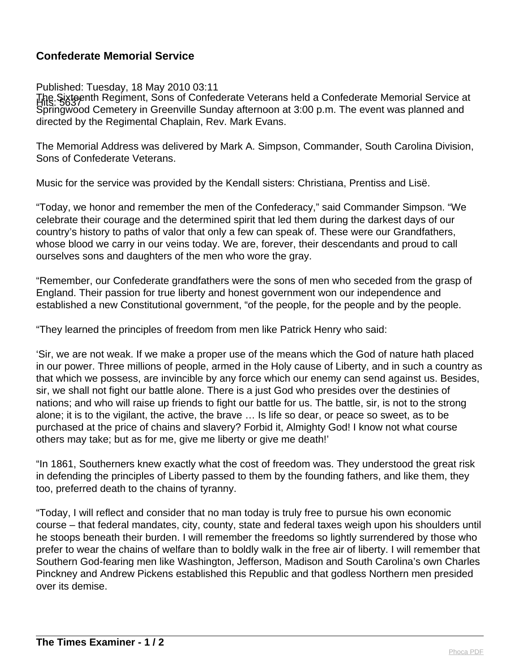## **Confederate Memorial Service**

Published: Tuesday, 18 May 2010 03:11

Hits: 5637 The Sixteenth Regiment, Sons of Confederate Veterans held a Confederate Memorial Service at Springwood Cemetery in Greenville Sunday afternoon at 3:00 p.m. The event was planned and directed by the Regimental Chaplain, Rev. Mark Evans.

The Memorial Address was delivered by Mark A. Simpson, Commander, South Carolina Division, Sons of Confederate Veterans.

Music for the service was provided by the Kendall sisters: Christiana, Prentiss and Lisë.

"Today, we honor and remember the men of the Confederacy," said Commander Simpson. "We celebrate their courage and the determined spirit that led them during the darkest days of our country's history to paths of valor that only a few can speak of. These were our Grandfathers, whose blood we carry in our veins today. We are, forever, their descendants and proud to call ourselves sons and daughters of the men who wore the gray.

"Remember, our Confederate grandfathers were the sons of men who seceded from the grasp of England. Their passion for true liberty and honest government won our independence and established a new Constitutional government, "of the people, for the people and by the people.

"They learned the principles of freedom from men like Patrick Henry who said:

'Sir, we are not weak. If we make a proper use of the means which the God of nature hath placed in our power. Three millions of people, armed in the Holy cause of Liberty, and in such a country as that which we possess, are invincible by any force which our enemy can send against us. Besides, sir, we shall not fight our battle alone. There is a just God who presides over the destinies of nations; and who will raise up friends to fight our battle for us. The battle, sir, is not to the strong alone; it is to the vigilant, the active, the brave … Is life so dear, or peace so sweet, as to be purchased at the price of chains and slavery? Forbid it, Almighty God! I know not what course others may take; but as for me, give me liberty or give me death!'

"In 1861, Southerners knew exactly what the cost of freedom was. They understood the great risk in defending the principles of Liberty passed to them by the founding fathers, and like them, they too, preferred death to the chains of tyranny.

"Today, I will reflect and consider that no man today is truly free to pursue his own economic course – that federal mandates, city, county, state and federal taxes weigh upon his shoulders until he stoops beneath their burden. I will remember the freedoms so lightly surrendered by those who prefer to wear the chains of welfare than to boldly walk in the free air of liberty. I will remember that Southern God-fearing men like Washington, Jefferson, Madison and South Carolina's own Charles Pinckney and Andrew Pickens established this Republic and that godless Northern men presided over its demise.